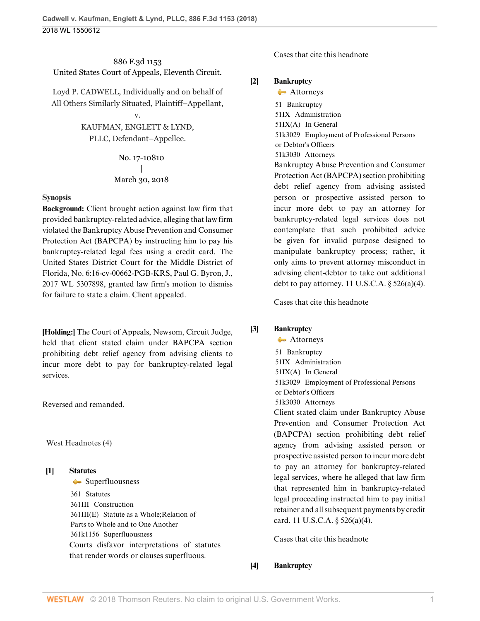# 886 F.3d 1153 United States Court of Appeals, Eleventh Circuit.

Loyd P. CADWELL, Individually and on behalf of All Others Similarly Situated, Plaintiff–Appellant,

> v. KAUFMAN, ENGLETT & LYND, PLLC, Defendant–Appellee.

> > No. 17-10810 | March 30, 2018

## **Synopsis**

**Background:** Client brought action against law firm that provided bankruptcy-related advice, alleging that law firm violated the Bankruptcy Abuse Prevention and Consumer Protection Act (BAPCPA) by instructing him to pay his bankruptcy-related legal fees using a credit card. The United States District Court for the Middle District of Florida, No. 6:16-cv-00662-PGB-KRS, [Paul G. Byron](http://www.westlaw.com/Link/Document/FullText?findType=h&pubNum=176284&cite=0485673001&originatingDoc=I3d670b10346311e89d46ed79fb792237&refType=RQ&originationContext=document&vr=3.0&rs=cblt1.0&transitionType=DocumentItem&contextData=(sc.UserEnteredCitation)), J., [2017 WL 5307898](http://www.westlaw.com/Link/Document/FullText?findType=Y&serNum=2043167007&pubNum=0000999&originatingDoc=I3d670b10346311e89d46ed79fb792237&refType=RP&originationContext=document&vr=3.0&rs=cblt1.0&transitionType=DocumentItem&contextData=(sc.UserEnteredCitation)), granted law firm's motion to dismiss for failure to state a claim. Client appealed.

**[\[Holding:\]](#page-0-0)** The Court of Appeals, [Newsom,](http://www.westlaw.com/Link/Document/FullText?findType=h&pubNum=176284&cite=0506009201&originatingDoc=I3d670b10346311e89d46ed79fb792237&refType=RQ&originationContext=document&vr=3.0&rs=cblt1.0&transitionType=DocumentItem&contextData=(sc.UserEnteredCitation)) Circuit Judge, held that client stated claim under BAPCPA section prohibiting debt relief agency from advising clients to incur more debt to pay for bankruptcy-related legal services.

Reversed and remanded.

West Headnotes (4)

## <span id="page-0-1"></span>**[\[1\]](#page-4-0) [Statutes](http://www.westlaw.com/Browse/Home/KeyNumber/361/View.html?docGuid=I3d670b10346311e89d46ed79fb792237&originationContext=document&vr=3.0&rs=cblt1.0&transitionType=DocumentItem&contextData=(sc.UserEnteredCitation))** [Superfluousness](http://www.westlaw.com/Browse/Home/KeyNumber/361k1156/View.html?docGuid=I3d670b10346311e89d46ed79fb792237&originationContext=document&vr=3.0&rs=cblt1.0&transitionType=DocumentItem&contextData=(sc.UserEnteredCitation))

[361](http://www.westlaw.com/Browse/Home/KeyNumber/361/View.html?docGuid=I3d670b10346311e89d46ed79fb792237&originationContext=document&vr=3.0&rs=cblt1.0&transitionType=DocumentItem&contextData=(sc.UserEnteredCitation)) Statutes [361III](http://www.westlaw.com/Browse/Home/KeyNumber/361III/View.html?docGuid=I3d670b10346311e89d46ed79fb792237&originationContext=document&vr=3.0&rs=cblt1.0&transitionType=DocumentItem&contextData=(sc.UserEnteredCitation)) Construction [361III\(E\)](http://www.westlaw.com/Browse/Home/KeyNumber/361III(E)/View.html?docGuid=I3d670b10346311e89d46ed79fb792237&originationContext=document&vr=3.0&rs=cblt1.0&transitionType=DocumentItem&contextData=(sc.UserEnteredCitation)) Statute as a Whole; Relation of Parts to Whole and to One Another [361k1156](http://www.westlaw.com/Browse/Home/KeyNumber/361k1156/View.html?docGuid=I3d670b10346311e89d46ed79fb792237&originationContext=document&vr=3.0&rs=cblt1.0&transitionType=DocumentItem&contextData=(sc.UserEnteredCitation)) Superfluousness Courts disfavor interpretations of statutes that render words or clauses superfluous.

[Cases that cite this headnote](http://www.westlaw.com/Link/RelatedInformation/DocHeadnoteLink?docGuid=I3d670b10346311e89d46ed79fb792237&headnoteId=204419294600220180420094550&originationContext=document&vr=3.0&rs=cblt1.0&transitionType=CitingReferences&contextData=(sc.UserEnteredCitation))

# <span id="page-0-2"></span>**[\[2\]](#page-5-0) [Bankruptcy](http://www.westlaw.com/Browse/Home/KeyNumber/51/View.html?docGuid=I3d670b10346311e89d46ed79fb792237&originationContext=document&vr=3.0&rs=cblt1.0&transitionType=DocumentItem&contextData=(sc.UserEnteredCitation))**

[Attorneys](http://www.westlaw.com/Browse/Home/KeyNumber/51k3030/View.html?docGuid=I3d670b10346311e89d46ed79fb792237&originationContext=document&vr=3.0&rs=cblt1.0&transitionType=DocumentItem&contextData=(sc.UserEnteredCitation)) [51](http://www.westlaw.com/Browse/Home/KeyNumber/51/View.html?docGuid=I3d670b10346311e89d46ed79fb792237&originationContext=document&vr=3.0&rs=cblt1.0&transitionType=DocumentItem&contextData=(sc.UserEnteredCitation)) Bankruptcy [51IX](http://www.westlaw.com/Browse/Home/KeyNumber/51IX/View.html?docGuid=I3d670b10346311e89d46ed79fb792237&originationContext=document&vr=3.0&rs=cblt1.0&transitionType=DocumentItem&contextData=(sc.UserEnteredCitation)) Administration [51IX\(A\)](http://www.westlaw.com/Browse/Home/KeyNumber/51IX(A)/View.html?docGuid=I3d670b10346311e89d46ed79fb792237&originationContext=document&vr=3.0&rs=cblt1.0&transitionType=DocumentItem&contextData=(sc.UserEnteredCitation)) In General [51k3029](http://www.westlaw.com/Browse/Home/KeyNumber/51k3029/View.html?docGuid=I3d670b10346311e89d46ed79fb792237&originationContext=document&vr=3.0&rs=cblt1.0&transitionType=DocumentItem&contextData=(sc.UserEnteredCitation)) Employment of Professional Persons or Debtor's Officers [51k3030](http://www.westlaw.com/Browse/Home/KeyNumber/51k3030/View.html?docGuid=I3d670b10346311e89d46ed79fb792237&originationContext=document&vr=3.0&rs=cblt1.0&transitionType=DocumentItem&contextData=(sc.UserEnteredCitation)) Attorneys Bankruptcy Abuse Prevention and Consumer Protection Act (BAPCPA) section prohibiting debt relief agency from advising assisted person or prospective assisted person to incur more debt to pay an attorney for bankruptcy-related legal services does not contemplate that such prohibited advice be given for invalid purpose designed to manipulate bankruptcy process; rather, it only aims to prevent attorney misconduct in advising client-debtor to take out additional debt to pay attorney. 11 U.S.C.A.  $\S$  526(a)(4).

[Cases that cite this headnote](http://www.westlaw.com/Link/RelatedInformation/DocHeadnoteLink?docGuid=I3d670b10346311e89d46ed79fb792237&headnoteId=204419294600120180420094550&originationContext=document&vr=3.0&rs=cblt1.0&transitionType=CitingReferences&contextData=(sc.UserEnteredCitation))

# <span id="page-0-0"></span>**[\[3\]](#page-5-1) [Bankruptcy](http://www.westlaw.com/Browse/Home/KeyNumber/51/View.html?docGuid=I3d670b10346311e89d46ed79fb792237&originationContext=document&vr=3.0&rs=cblt1.0&transitionType=DocumentItem&contextData=(sc.UserEnteredCitation))**

[Attorneys](http://www.westlaw.com/Browse/Home/KeyNumber/51k3030/View.html?docGuid=I3d670b10346311e89d46ed79fb792237&originationContext=document&vr=3.0&rs=cblt1.0&transitionType=DocumentItem&contextData=(sc.UserEnteredCitation)) [51](http://www.westlaw.com/Browse/Home/KeyNumber/51/View.html?docGuid=I3d670b10346311e89d46ed79fb792237&originationContext=document&vr=3.0&rs=cblt1.0&transitionType=DocumentItem&contextData=(sc.UserEnteredCitation)) Bankruptcy [51IX](http://www.westlaw.com/Browse/Home/KeyNumber/51IX/View.html?docGuid=I3d670b10346311e89d46ed79fb792237&originationContext=document&vr=3.0&rs=cblt1.0&transitionType=DocumentItem&contextData=(sc.UserEnteredCitation)) Administration [51IX\(A\)](http://www.westlaw.com/Browse/Home/KeyNumber/51IX(A)/View.html?docGuid=I3d670b10346311e89d46ed79fb792237&originationContext=document&vr=3.0&rs=cblt1.0&transitionType=DocumentItem&contextData=(sc.UserEnteredCitation)) In General [51k3029](http://www.westlaw.com/Browse/Home/KeyNumber/51k3029/View.html?docGuid=I3d670b10346311e89d46ed79fb792237&originationContext=document&vr=3.0&rs=cblt1.0&transitionType=DocumentItem&contextData=(sc.UserEnteredCitation)) Employment of Professional Persons or Debtor's Officers [51k3030](http://www.westlaw.com/Browse/Home/KeyNumber/51k3030/View.html?docGuid=I3d670b10346311e89d46ed79fb792237&originationContext=document&vr=3.0&rs=cblt1.0&transitionType=DocumentItem&contextData=(sc.UserEnteredCitation)) Attorneys Client stated claim under Bankruptcy Abuse Prevention and Consumer Protection Act (BAPCPA) section prohibiting debt relief agency from advising assisted person or prospective assisted person to incur more debt to pay an attorney for bankruptcy-related legal services, where he alleged that law firm that represented him in bankruptcy-related legal proceeding instructed him to pay initial retainer and all subsequent payments by credit card. [11 U.S.C.A. § 526\(a\)\(4\).](http://www.westlaw.com/Link/Document/FullText?findType=L&pubNum=1000546&cite=11USCAS526&originatingDoc=I3d670b10346311e89d46ed79fb792237&refType=SP&originationContext=document&vr=3.0&rs=cblt1.0&transitionType=DocumentItem&contextData=(sc.UserEnteredCitation)#co_pp_d40e000072291)

[Cases that cite this headnote](http://www.westlaw.com/Link/RelatedInformation/DocHeadnoteLink?docGuid=I3d670b10346311e89d46ed79fb792237&headnoteId=204419294600320180420094550&originationContext=document&vr=3.0&rs=cblt1.0&transitionType=CitingReferences&contextData=(sc.UserEnteredCitation))

# <span id="page-0-3"></span>**[\[4\]](#page-6-0) [Bankruptcy](http://www.westlaw.com/Browse/Home/KeyNumber/51/View.html?docGuid=I3d670b10346311e89d46ed79fb792237&originationContext=document&vr=3.0&rs=cblt1.0&transitionType=DocumentItem&contextData=(sc.UserEnteredCitation))**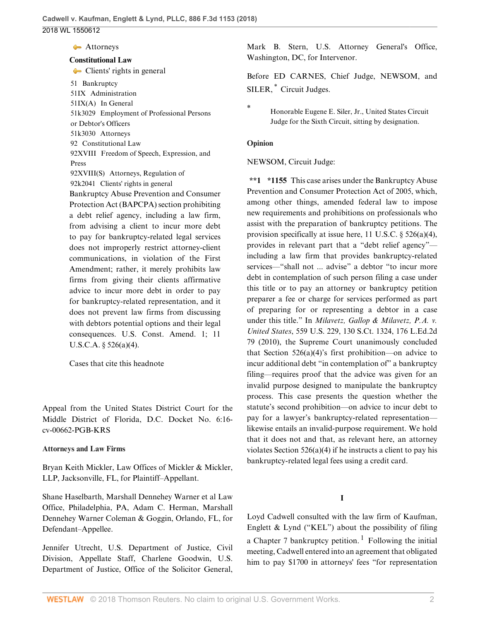**[Attorneys](http://www.westlaw.com/Browse/Home/KeyNumber/51k3030/View.html?docGuid=I3d670b10346311e89d46ed79fb792237&originationContext=document&vr=3.0&rs=cblt1.0&transitionType=DocumentItem&contextData=(sc.UserEnteredCitation))** 

#### **[Constitutional Law](http://www.westlaw.com/Browse/Home/KeyNumber/92/View.html?docGuid=I3d670b10346311e89d46ed79fb792237&originationContext=document&vr=3.0&rs=cblt1.0&transitionType=DocumentItem&contextData=(sc.UserEnteredCitation))**

• [Clients' rights in general](http://www.westlaw.com/Browse/Home/KeyNumber/92k2041/View.html?docGuid=I3d670b10346311e89d46ed79fb792237&originationContext=document&vr=3.0&rs=cblt1.0&transitionType=DocumentItem&contextData=(sc.UserEnteredCitation)) [51](http://www.westlaw.com/Browse/Home/KeyNumber/51/View.html?docGuid=I3d670b10346311e89d46ed79fb792237&originationContext=document&vr=3.0&rs=cblt1.0&transitionType=DocumentItem&contextData=(sc.UserEnteredCitation)) Bankruptcy [51IX](http://www.westlaw.com/Browse/Home/KeyNumber/51IX/View.html?docGuid=I3d670b10346311e89d46ed79fb792237&originationContext=document&vr=3.0&rs=cblt1.0&transitionType=DocumentItem&contextData=(sc.UserEnteredCitation)) Administration [51IX\(A\)](http://www.westlaw.com/Browse/Home/KeyNumber/51IX(A)/View.html?docGuid=I3d670b10346311e89d46ed79fb792237&originationContext=document&vr=3.0&rs=cblt1.0&transitionType=DocumentItem&contextData=(sc.UserEnteredCitation)) In General [51k3029](http://www.westlaw.com/Browse/Home/KeyNumber/51k3029/View.html?docGuid=I3d670b10346311e89d46ed79fb792237&originationContext=document&vr=3.0&rs=cblt1.0&transitionType=DocumentItem&contextData=(sc.UserEnteredCitation)) Employment of Professional Persons or Debtor's Officers [51k3030](http://www.westlaw.com/Browse/Home/KeyNumber/51k3030/View.html?docGuid=I3d670b10346311e89d46ed79fb792237&originationContext=document&vr=3.0&rs=cblt1.0&transitionType=DocumentItem&contextData=(sc.UserEnteredCitation)) Attorneys [92](http://www.westlaw.com/Browse/Home/KeyNumber/92/View.html?docGuid=I3d670b10346311e89d46ed79fb792237&originationContext=document&vr=3.0&rs=cblt1.0&transitionType=DocumentItem&contextData=(sc.UserEnteredCitation)) Constitutional Law [92XVIII](http://www.westlaw.com/Browse/Home/KeyNumber/92XVIII/View.html?docGuid=I3d670b10346311e89d46ed79fb792237&originationContext=document&vr=3.0&rs=cblt1.0&transitionType=DocumentItem&contextData=(sc.UserEnteredCitation)) Freedom of Speech, Expression, and Press [92XVIII\(S\)](http://www.westlaw.com/Browse/Home/KeyNumber/92XVIII(S)/View.html?docGuid=I3d670b10346311e89d46ed79fb792237&originationContext=document&vr=3.0&rs=cblt1.0&transitionType=DocumentItem&contextData=(sc.UserEnteredCitation)) Attorneys, Regulation of [92k2041](http://www.westlaw.com/Browse/Home/KeyNumber/92k2041/View.html?docGuid=I3d670b10346311e89d46ed79fb792237&originationContext=document&vr=3.0&rs=cblt1.0&transitionType=DocumentItem&contextData=(sc.UserEnteredCitation)) Clients' rights in general Bankruptcy Abuse Prevention and Consumer Protection Act (BAPCPA) section prohibiting a debt relief agency, including a law firm, from advising a client to incur more debt

to pay for bankruptcy-related legal services does not improperly restrict attorney-client communications, in violation of the First Amendment; rather, it merely prohibits law firms from giving their clients affirmative advice to incur more debt in order to pay for bankruptcy-related representation, and it does not prevent law firms from discussing with debtors potential options and their legal consequences. [U.S. Const. Amend. 1;](http://www.westlaw.com/Link/Document/FullText?findType=L&pubNum=1000583&cite=USCOAMENDI&originatingDoc=I3d670b10346311e89d46ed79fb792237&refType=LQ&originationContext=document&vr=3.0&rs=cblt1.0&transitionType=DocumentItem&contextData=(sc.UserEnteredCitation)) [11](http://www.westlaw.com/Link/Document/FullText?findType=L&pubNum=1000546&cite=11USCAS526&originatingDoc=I3d670b10346311e89d46ed79fb792237&refType=SP&originationContext=document&vr=3.0&rs=cblt1.0&transitionType=DocumentItem&contextData=(sc.UserEnteredCitation)#co_pp_d40e000072291) [U.S.C.A. § 526\(a\)\(4\)](http://www.westlaw.com/Link/Document/FullText?findType=L&pubNum=1000546&cite=11USCAS526&originatingDoc=I3d670b10346311e89d46ed79fb792237&refType=SP&originationContext=document&vr=3.0&rs=cblt1.0&transitionType=DocumentItem&contextData=(sc.UserEnteredCitation)#co_pp_d40e000072291).

[Cases that cite this headnote](http://www.westlaw.com/Link/RelatedInformation/DocHeadnoteLink?docGuid=I3d670b10346311e89d46ed79fb792237&headnoteId=204419294600420180420094550&originationContext=document&vr=3.0&rs=cblt1.0&transitionType=CitingReferences&contextData=(sc.UserEnteredCitation))

Appeal from the United States District Court for the Middle District of Florida, D.C. Docket No. 6:16 cv-00662-PGB-KRS

#### **Attorneys and Law Firms**

[Bryan Keith Mickler](http://www.westlaw.com/Link/Document/FullText?findType=h&pubNum=176284&cite=0230375101&originatingDoc=I3d670b10346311e89d46ed79fb792237&refType=RQ&originationContext=document&vr=3.0&rs=cblt1.0&transitionType=DocumentItem&contextData=(sc.UserEnteredCitation)), Law Offices of Mickler & Mickler, LLP, Jacksonville, FL, for Plaintiff–Appellant.

[Shane Haselbarth](http://www.westlaw.com/Link/Document/FullText?findType=h&pubNum=176284&cite=0434096301&originatingDoc=I3d670b10346311e89d46ed79fb792237&refType=RQ&originationContext=document&vr=3.0&rs=cblt1.0&transitionType=DocumentItem&contextData=(sc.UserEnteredCitation)), Marshall Dennehey Warner et al Law Office, Philadelphia, PA, [Adam C. Herman,](http://www.westlaw.com/Link/Document/FullText?findType=h&pubNum=176284&cite=0328060001&originatingDoc=I3d670b10346311e89d46ed79fb792237&refType=RQ&originationContext=document&vr=3.0&rs=cblt1.0&transitionType=DocumentItem&contextData=(sc.UserEnteredCitation)) Marshall Dennehey Warner Coleman & Goggin, Orlando, FL, for Defendant–Appellee.

Jennifer Utrecht, U.S. Department of Justice, Civil Division, Appellate Staff, Charlene Goodwin, U.S. Department of Justice, Office of the Solicitor General,

[Mark B. Stern,](http://www.westlaw.com/Link/Document/FullText?findType=h&pubNum=176284&cite=0210065101&originatingDoc=I3d670b10346311e89d46ed79fb792237&refType=RQ&originationContext=document&vr=3.0&rs=cblt1.0&transitionType=DocumentItem&contextData=(sc.UserEnteredCitation)) U.S. Attorney General's Office, Washington, DC, for Intervenor.

<span id="page-1-1"></span>Before [ED CARNES](http://www.westlaw.com/Link/Document/FullText?findType=h&pubNum=176284&cite=0128163401&originatingDoc=I3d670b10346311e89d46ed79fb792237&refType=RQ&originationContext=document&vr=3.0&rs=cblt1.0&transitionType=DocumentItem&contextData=(sc.UserEnteredCitation)), Chief Judge, [NEWSOM](http://www.westlaw.com/Link/Document/FullText?findType=h&pubNum=176284&cite=0506009201&originatingDoc=I3d670b10346311e89d46ed79fb792237&refType=RQ&originationContext=document&vr=3.0&rs=cblt1.0&transitionType=DocumentItem&contextData=(sc.UserEnteredCitation)), and SILER, [\\*](#page-1-0) Circuit Judges.

#### **Opinion**

#### [NEWSOM,](http://www.westlaw.com/Link/Document/FullText?findType=h&pubNum=176284&cite=0506009201&originatingDoc=I3d670b10346311e89d46ed79fb792237&refType=RQ&originationContext=document&vr=3.0&rs=cblt1.0&transitionType=DocumentItem&contextData=(sc.UserEnteredCitation)) Circuit Judge:

**\*\*1 \*1155** This case arises under the Bankruptcy Abuse Prevention and Consumer Protection Act of 2005, which, among other things, amended federal law to impose new requirements and prohibitions on professionals who assist with the preparation of bankruptcy petitions. The provision specifically at issue here, [11 U.S.C. § 526\(a\)\(4\)](http://www.westlaw.com/Link/Document/FullText?findType=L&pubNum=1000546&cite=11USCAS526&originatingDoc=I3d670b10346311e89d46ed79fb792237&refType=SP&originationContext=document&vr=3.0&rs=cblt1.0&transitionType=DocumentItem&contextData=(sc.UserEnteredCitation)#co_pp_d40e000072291), provides in relevant part that a "debt relief agency" including a law firm that provides bankruptcy-related services—"shall not ... advise" a debtor "to incur more debt in contemplation of such person filing a case under this title or to pay an attorney or bankruptcy petition preparer a fee or charge for services performed as part of preparing for or representing a debtor in a case under this title." In *[Milavetz, Gallop & Milavetz, P.A. v.](http://www.westlaw.com/Link/Document/FullText?findType=Y&serNum=2021490121&pubNum=0000708&originatingDoc=I3d670b10346311e89d46ed79fb792237&refType=RP&originationContext=document&vr=3.0&rs=cblt1.0&transitionType=DocumentItem&contextData=(sc.UserEnteredCitation)) United States*[, 559 U.S. 229, 130 S.Ct. 1324, 176 L.Ed.2d](http://www.westlaw.com/Link/Document/FullText?findType=Y&serNum=2021490121&pubNum=0000708&originatingDoc=I3d670b10346311e89d46ed79fb792237&refType=RP&originationContext=document&vr=3.0&rs=cblt1.0&transitionType=DocumentItem&contextData=(sc.UserEnteredCitation)) [79 \(2010\)](http://www.westlaw.com/Link/Document/FullText?findType=Y&serNum=2021490121&pubNum=0000708&originatingDoc=I3d670b10346311e89d46ed79fb792237&refType=RP&originationContext=document&vr=3.0&rs=cblt1.0&transitionType=DocumentItem&contextData=(sc.UserEnteredCitation)), the Supreme Court unanimously concluded that Section  $526(a)(4)$ 's first prohibition—on advice to incur additional debt "in contemplation of" a bankruptcy filing—requires proof that the advice was given for an invalid purpose designed to manipulate the bankruptcy process. This case presents the question whether the statute's second prohibition—on advice to incur debt to pay for a lawyer's bankruptcy-related representation likewise entails an invalid-purpose requirement. We hold that it does not and that, as relevant here, an attorney violates Section  $526(a)(4)$  if he instructs a client to pay his bankruptcy-related legal fees using a credit card.

#### <span id="page-1-2"></span>**I**

Loyd Cadwell consulted with the law firm of Kaufman, Englett  $\&$  Lynd ("KEL") about the possibility of filing a Chapter 7 bankruptcy petition.<sup>[1](#page-2-0)</sup> Following the initial meeting, Cadwell entered into an agreement that obligated him to pay \$1700 in attorneys' fees "for representation

<span id="page-1-0"></span>Honorable Eugene E. Siler, Jr., United States Circuit Judge for the Sixth Circuit, sitting by designation.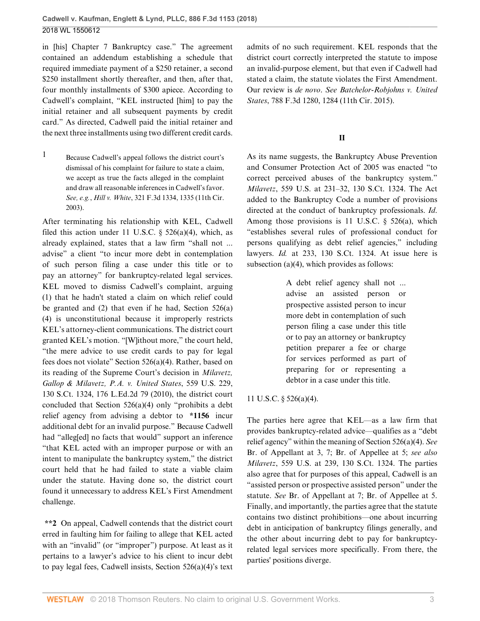in [his] Chapter 7 Bankruptcy case." The agreement contained an addendum establishing a schedule that required immediate payment of a \$250 retainer, a second \$250 installment shortly thereafter, and then, after that, four monthly installments of \$300 apiece. According to Cadwell's complaint, "KEL instructed [him] to pay the initial retainer and all subsequent payments by credit card." As directed, Cadwell paid the initial retainer and the next three installments using two different credit cards.

<span id="page-2-0"></span>[1](#page-1-2) Because Cadwell's appeal follows the district court's dismissal of his complaint for failure to state a claim, we accept as true the facts alleged in the complaint and draw all reasonable inferences in Cadwell's favor. *See, e.g.*, *Hill v. White*[, 321 F.3d 1334, 1335 \(11th Cir.](http://www.westlaw.com/Link/Document/FullText?findType=Y&serNum=2003169523&pubNum=0000506&originatingDoc=I3d670b10346311e89d46ed79fb792237&refType=RP&fi=co_pp_sp_506_1335&originationContext=document&vr=3.0&rs=cblt1.0&transitionType=DocumentItem&contextData=(sc.UserEnteredCitation)#co_pp_sp_506_1335) [2003\).](http://www.westlaw.com/Link/Document/FullText?findType=Y&serNum=2003169523&pubNum=0000506&originatingDoc=I3d670b10346311e89d46ed79fb792237&refType=RP&fi=co_pp_sp_506_1335&originationContext=document&vr=3.0&rs=cblt1.0&transitionType=DocumentItem&contextData=(sc.UserEnteredCitation)#co_pp_sp_506_1335)

After terminating his relationship with KEL, Cadwell filed this action under 11 U.S.C.  $\S$  526(a)(4), which, as already explained, states that a law firm "shall not ... advise" a client "to incur more debt in contemplation of such person filing a case under this title or to pay an attorney" for bankruptcy-related legal services. KEL moved to dismiss Cadwell's complaint, arguing (1) that he hadn't stated a claim on which relief could be granted and (2) that even if he had, [Section 526\(a\)](http://www.westlaw.com/Link/Document/FullText?findType=L&pubNum=1000546&cite=11USCAS526&originatingDoc=I3d670b10346311e89d46ed79fb792237&refType=SP&originationContext=document&vr=3.0&rs=cblt1.0&transitionType=DocumentItem&contextData=(sc.UserEnteredCitation)#co_pp_d40e000072291) [\(4\)](http://www.westlaw.com/Link/Document/FullText?findType=L&pubNum=1000546&cite=11USCAS526&originatingDoc=I3d670b10346311e89d46ed79fb792237&refType=SP&originationContext=document&vr=3.0&rs=cblt1.0&transitionType=DocumentItem&contextData=(sc.UserEnteredCitation)#co_pp_d40e000072291) is unconstitutional because it improperly restricts KEL's attorney-client communications. The district court granted KEL's motion. "[W]ithout more," the court held, "the mere advice to use credit cards to pay for legal fees does not violate" [Section 526\(a\)\(4\)](http://www.westlaw.com/Link/Document/FullText?findType=L&pubNum=1000546&cite=11USCAS526&originatingDoc=I3d670b10346311e89d46ed79fb792237&refType=SP&originationContext=document&vr=3.0&rs=cblt1.0&transitionType=DocumentItem&contextData=(sc.UserEnteredCitation)#co_pp_d40e000072291). Rather, based on its reading of the Supreme Court's decision in *[Milavetz,](http://www.westlaw.com/Link/Document/FullText?findType=Y&serNum=2021490121&pubNum=0000708&originatingDoc=I3d670b10346311e89d46ed79fb792237&refType=RP&originationContext=document&vr=3.0&rs=cblt1.0&transitionType=DocumentItem&contextData=(sc.UserEnteredCitation)) [Gallop & Milavetz, P.A. v. United States](http://www.westlaw.com/Link/Document/FullText?findType=Y&serNum=2021490121&pubNum=0000708&originatingDoc=I3d670b10346311e89d46ed79fb792237&refType=RP&originationContext=document&vr=3.0&rs=cblt1.0&transitionType=DocumentItem&contextData=(sc.UserEnteredCitation))*, 559 U.S. 229, [130 S.Ct. 1324, 176 L.Ed.2d 79 \(2010\)](http://www.westlaw.com/Link/Document/FullText?findType=Y&serNum=2021490121&pubNum=0000708&originatingDoc=I3d670b10346311e89d46ed79fb792237&refType=RP&originationContext=document&vr=3.0&rs=cblt1.0&transitionType=DocumentItem&contextData=(sc.UserEnteredCitation)), the district court concluded that [Section 526\(a\)\(4\)](http://www.westlaw.com/Link/Document/FullText?findType=L&pubNum=1000546&cite=11USCAS526&originatingDoc=I3d670b10346311e89d46ed79fb792237&refType=SP&originationContext=document&vr=3.0&rs=cblt1.0&transitionType=DocumentItem&contextData=(sc.UserEnteredCitation)#co_pp_d40e000072291) only "prohibits a debt relief agency from advising a debtor to **\*1156** incur additional debt for an invalid purpose." Because Cadwell had "alleged] no facts that would" support an inference "that KEL acted with an improper purpose or with an intent to manipulate the bankruptcy system," the district court held that he had failed to state a viable claim under the statute. Having done so, the district court found it unnecessary to address KEL's First Amendment challenge.

**\*\*2** On appeal, Cadwell contends that the district court erred in faulting him for failing to allege that KEL acted with an "invalid" (or "improper") purpose. At least as it pertains to a lawyer's advice to his client to incur debt to pay legal fees, Cadwell insists, [Section 526\(a\)\(4\)](http://www.westlaw.com/Link/Document/FullText?findType=L&pubNum=1000546&cite=11USCAS526&originatingDoc=I3d670b10346311e89d46ed79fb792237&refType=SP&originationContext=document&vr=3.0&rs=cblt1.0&transitionType=DocumentItem&contextData=(sc.UserEnteredCitation)#co_pp_d40e000072291)'s text admits of no such requirement. KEL responds that the district court correctly interpreted the statute to impose an invalid-purpose element, but that even if Cadwell had stated a claim, the statute violates the First Amendment. Our review is *de novo*. *See [Batchelor-Robjohns v. United](http://www.westlaw.com/Link/Document/FullText?findType=Y&serNum=2036402552&pubNum=0000506&originatingDoc=I3d670b10346311e89d46ed79fb792237&refType=RP&fi=co_pp_sp_506_1284&originationContext=document&vr=3.0&rs=cblt1.0&transitionType=DocumentItem&contextData=(sc.UserEnteredCitation)#co_pp_sp_506_1284) States*[, 788 F.3d 1280, 1284 \(11th Cir. 2015\).](http://www.westlaw.com/Link/Document/FullText?findType=Y&serNum=2036402552&pubNum=0000506&originatingDoc=I3d670b10346311e89d46ed79fb792237&refType=RP&fi=co_pp_sp_506_1284&originationContext=document&vr=3.0&rs=cblt1.0&transitionType=DocumentItem&contextData=(sc.UserEnteredCitation)#co_pp_sp_506_1284)

# **II**

As its name suggests, the Bankruptcy Abuse Prevention and Consumer Protection Act of 2005 was enacted "to correct perceived abuses of the bankruptcy system." *Milavetz*[, 559 U.S. at 231–32, 130 S.Ct. 1324](http://www.westlaw.com/Link/Document/FullText?findType=Y&serNum=2021490121&pubNum=0000708&originatingDoc=I3d670b10346311e89d46ed79fb792237&refType=RP&originationContext=document&vr=3.0&rs=cblt1.0&transitionType=DocumentItem&contextData=(sc.UserEnteredCitation)). The Act added to the Bankruptcy Code a number of provisions directed at the conduct of bankruptcy professionals. *[Id](http://www.westlaw.com/Link/Document/FullText?findType=Y&serNum=2021490121&pubNum=0000780&originatingDoc=I3d670b10346311e89d46ed79fb792237&refType=RP&originationContext=document&vr=3.0&rs=cblt1.0&transitionType=DocumentItem&contextData=(sc.UserEnteredCitation))*. Among those provisions is [11 U.S.C. § 526\(a\),](http://www.westlaw.com/Link/Document/FullText?findType=L&pubNum=1000546&cite=11USCAS526&originatingDoc=I3d670b10346311e89d46ed79fb792237&refType=SP&originationContext=document&vr=3.0&rs=cblt1.0&transitionType=DocumentItem&contextData=(sc.UserEnteredCitation)#co_pp_8b3b0000958a4) which "establishes several rules of professional conduct for persons qualifying as debt relief agencies," including lawyers. *Id.* [at 233, 130 S.Ct. 1324](http://www.westlaw.com/Link/Document/FullText?findType=Y&serNum=2021490121&pubNum=0000708&originatingDoc=I3d670b10346311e89d46ed79fb792237&refType=RP&originationContext=document&vr=3.0&rs=cblt1.0&transitionType=DocumentItem&contextData=(sc.UserEnteredCitation)). At issue here is subsection (a)(4), which provides as follows:

> A debt relief agency shall not ... advise an assisted person or prospective assisted person to incur more debt in contemplation of such person filing a case under this title or to pay an attorney or bankruptcy petition preparer a fee or charge for services performed as part of preparing for or representing a debtor in a case under this title.

# [11 U.S.C. § 526\(a\)\(4\).](http://www.westlaw.com/Link/Document/FullText?findType=L&pubNum=1000546&cite=11USCAS526&originatingDoc=I3d670b10346311e89d46ed79fb792237&refType=SP&originationContext=document&vr=3.0&rs=cblt1.0&transitionType=DocumentItem&contextData=(sc.UserEnteredCitation)#co_pp_d40e000072291)

The parties here agree that KEL—as a law firm that provides bankruptcy-related advice—qualifies as a "debt relief agency" within the meaning of [Section 526\(a\)\(4\).](http://www.westlaw.com/Link/Document/FullText?findType=L&pubNum=1000546&cite=11USCAS526&originatingDoc=I3d670b10346311e89d46ed79fb792237&refType=SP&originationContext=document&vr=3.0&rs=cblt1.0&transitionType=DocumentItem&contextData=(sc.UserEnteredCitation)#co_pp_d40e000072291) *See* Br. of Appellant at 3, 7; Br. of Appellee at 5; *see also Milavetz*[, 559 U.S. at 239, 130 S.Ct. 1324](http://www.westlaw.com/Link/Document/FullText?findType=Y&serNum=2021490121&pubNum=0000708&originatingDoc=I3d670b10346311e89d46ed79fb792237&refType=RP&originationContext=document&vr=3.0&rs=cblt1.0&transitionType=DocumentItem&contextData=(sc.UserEnteredCitation)). The parties also agree that for purposes of this appeal, Cadwell is an "assisted person or prospective assisted person" under the statute. *See* Br. of Appellant at 7; Br. of Appellee at 5. Finally, and importantly, the parties agree that the statute contains two distinct prohibitions—one about incurring debt in anticipation of bankruptcy filings generally, and the other about incurring debt to pay for bankruptcyrelated legal services more specifically. From there, the parties' positions diverge.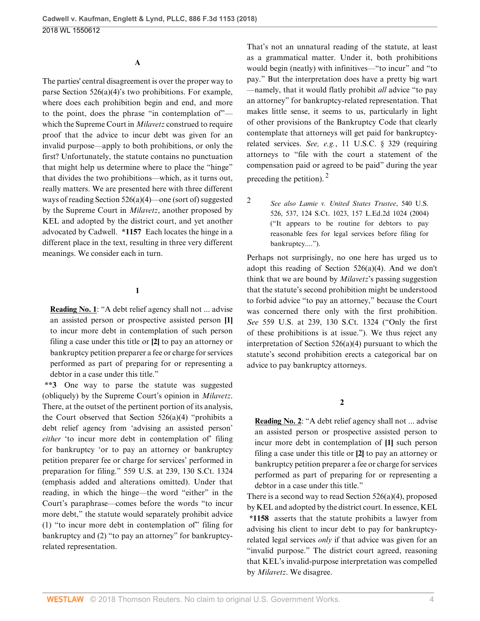## **A**

The parties' central disagreement is over the proper way to parse [Section 526\(a\)\(4\)'](http://www.westlaw.com/Link/Document/FullText?findType=L&pubNum=1000546&cite=11USCAS526&originatingDoc=I3d670b10346311e89d46ed79fb792237&refType=SP&originationContext=document&vr=3.0&rs=cblt1.0&transitionType=DocumentItem&contextData=(sc.UserEnteredCitation)#co_pp_d40e000072291)s two prohibitions. For example, where does each prohibition begin and end, and more to the point, does the phrase "in contemplation of" which the Supreme Court in *[Milavetz](http://www.westlaw.com/Link/Document/FullText?findType=Y&serNum=2021490121&pubNum=0000780&originatingDoc=I3d670b10346311e89d46ed79fb792237&refType=RP&originationContext=document&vr=3.0&rs=cblt1.0&transitionType=DocumentItem&contextData=(sc.UserEnteredCitation))* construed to require proof that the advice to incur debt was given for an invalid purpose—apply to both prohibitions, or only the first? Unfortunately, the statute contains no punctuation that might help us determine where to place the "hinge" that divides the two prohibitions—which, as it turns out, really matters. We are presented here with three different ways of reading [Section 526\(a\)\(4\)](http://www.westlaw.com/Link/Document/FullText?findType=L&pubNum=1000546&cite=11USCAS526&originatingDoc=I3d670b10346311e89d46ed79fb792237&refType=SP&originationContext=document&vr=3.0&rs=cblt1.0&transitionType=DocumentItem&contextData=(sc.UserEnteredCitation)#co_pp_d40e000072291)—one (sort of) suggested by the Supreme Court in *[Milavetz](http://www.westlaw.com/Link/Document/FullText?findType=Y&serNum=2021490121&pubNum=0000780&originatingDoc=I3d670b10346311e89d46ed79fb792237&refType=RP&originationContext=document&vr=3.0&rs=cblt1.0&transitionType=DocumentItem&contextData=(sc.UserEnteredCitation))*, another proposed by KEL and adopted by the district court, and yet another advocated by Cadwell. **\*1157** Each locates the hinge in a different place in the text, resulting in three very different meanings. We consider each in turn.

## **1**

**Reading No. 1**: "A debt relief agency shall not ... advise an assisted person or prospective assisted person **[1]** to incur more debt in contemplation of such person filing a case under this title or **[2]** to pay an attorney or bankruptcy petition preparer a fee or charge for services performed as part of preparing for or representing a debtor in a case under this title."

**\*\*3** One way to parse the statute was suggested (obliquely) by the Supreme Court's opinion in *[Milavetz](http://www.westlaw.com/Link/Document/FullText?findType=Y&serNum=2021490121&pubNum=0000780&originatingDoc=I3d670b10346311e89d46ed79fb792237&refType=RP&originationContext=document&vr=3.0&rs=cblt1.0&transitionType=DocumentItem&contextData=(sc.UserEnteredCitation))*. There, at the outset of the pertinent portion of its analysis, the Court observed that Section  $526(a)(4)$  "prohibits a debt relief agency from 'advising an assisted person' *either* 'to incur more debt in contemplation of' filing for bankruptcy 'or to pay an attorney or bankruptcy petition preparer fee or charge for services' performed in preparation for filing." [559 U.S. at 239, 130 S.Ct. 1324](http://www.westlaw.com/Link/Document/FullText?findType=Y&serNum=2021490121&pubNum=0000708&originatingDoc=I3d670b10346311e89d46ed79fb792237&refType=RP&originationContext=document&vr=3.0&rs=cblt1.0&transitionType=DocumentItem&contextData=(sc.UserEnteredCitation)) (emphasis added and alterations omitted). Under that reading, in which the hinge—the word "either" in the Court's paraphrase—comes before the words "to incur more debt," the statute would separately prohibit advice (1) "to incur more debt in contemplation of" filing for bankruptcy and (2) "to pay an attorney" for bankruptcyrelated representation.

That's not an unnatural reading of the statute, at least as a grammatical matter. Under it, both prohibitions would begin (neatly) with infinitives—"to incur" and "to pay." But the interpretation does have a pretty big wart —namely, that it would flatly prohibit *all* advice "to pay an attorney" for bankruptcy-related representation. That makes little sense, it seems to us, particularly in light of other provisions of the Bankruptcy Code that clearly contemplate that attorneys will get paid for bankruptcyrelated services. *See, e.g.*, [11 U.S.C. § 329](http://www.westlaw.com/Link/Document/FullText?findType=L&pubNum=1000546&cite=11USCAS329&originatingDoc=I3d670b10346311e89d46ed79fb792237&refType=LQ&originationContext=document&vr=3.0&rs=cblt1.0&transitionType=DocumentItem&contextData=(sc.UserEnteredCitation)) (requiring attorneys to "file with the court a statement of the compensation paid or agreed to be paid" during the year preceding the petition). [2](#page-3-0)

<span id="page-3-1"></span><span id="page-3-0"></span>[2](#page-3-1) *See also [Lamie v. United States Trustee](http://www.westlaw.com/Link/Document/FullText?findType=Y&serNum=2004086779&pubNum=0000708&originatingDoc=I3d670b10346311e89d46ed79fb792237&refType=RP&originationContext=document&vr=3.0&rs=cblt1.0&transitionType=DocumentItem&contextData=(sc.UserEnteredCitation))*, 540 U.S. [526, 537, 124 S.Ct. 1023, 157 L.Ed.2d 1024 \(2004\)](http://www.westlaw.com/Link/Document/FullText?findType=Y&serNum=2004086779&pubNum=0000708&originatingDoc=I3d670b10346311e89d46ed79fb792237&refType=RP&originationContext=document&vr=3.0&rs=cblt1.0&transitionType=DocumentItem&contextData=(sc.UserEnteredCitation)) ("It appears to be routine for debtors to pay reasonable fees for legal services before filing for bankruptcy....").

Perhaps not surprisingly, no one here has urged us to adopt this reading of [Section 526\(a\)\(4\)](http://www.westlaw.com/Link/Document/FullText?findType=L&pubNum=1000546&cite=11USCAS526&originatingDoc=I3d670b10346311e89d46ed79fb792237&refType=SP&originationContext=document&vr=3.0&rs=cblt1.0&transitionType=DocumentItem&contextData=(sc.UserEnteredCitation)#co_pp_d40e000072291). And we don't think that we are bound by *[Milavetz](http://www.westlaw.com/Link/Document/FullText?findType=Y&serNum=2021490121&originatingDoc=I3d670b10346311e89d46ed79fb792237&refType=RP&originationContext=document&vr=3.0&rs=cblt1.0&transitionType=DocumentItem&contextData=(sc.UserEnteredCitation))*'s passing suggestion that the statute's second prohibition might be understood to forbid advice "to pay an attorney," because the Court was concerned there only with the first prohibition. *See* [559 U.S. at 239, 130 S.Ct. 1324](http://www.westlaw.com/Link/Document/FullText?findType=Y&serNum=2021490121&pubNum=0000708&originatingDoc=I3d670b10346311e89d46ed79fb792237&refType=RP&originationContext=document&vr=3.0&rs=cblt1.0&transitionType=DocumentItem&contextData=(sc.UserEnteredCitation)) ("Only the first of these prohibitions is at issue."). We thus reject any interpretation of [Section 526\(a\)\(4\)](http://www.westlaw.com/Link/Document/FullText?findType=L&pubNum=1000546&cite=11USCAS526&originatingDoc=I3d670b10346311e89d46ed79fb792237&refType=SP&originationContext=document&vr=3.0&rs=cblt1.0&transitionType=DocumentItem&contextData=(sc.UserEnteredCitation)#co_pp_d40e000072291) pursuant to which the statute's second prohibition erects a categorical bar on advice to pay bankruptcy attorneys.

#### **2**

**Reading No. 2**: "A debt relief agency shall not ... advise an assisted person or prospective assisted person to incur more debt in contemplation of **[1]** such person filing a case under this title or **[2]** to pay an attorney or bankruptcy petition preparer a fee or charge for services performed as part of preparing for or representing a debtor in a case under this title."

There is a second way to read [Section 526\(a\)\(4\)](http://www.westlaw.com/Link/Document/FullText?findType=L&pubNum=1000546&cite=11USCAS526&originatingDoc=I3d670b10346311e89d46ed79fb792237&refType=SP&originationContext=document&vr=3.0&rs=cblt1.0&transitionType=DocumentItem&contextData=(sc.UserEnteredCitation)#co_pp_d40e000072291), proposed by KEL and adopted by the district court. In essence, KEL **\*1158** asserts that the statute prohibits a lawyer from advising his client to incur debt to pay for bankruptcyrelated legal services *only* if that advice was given for an "invalid purpose." The district court agreed, reasoning that KEL's invalid-purpose interpretation was compelled by *[Milavetz](http://www.westlaw.com/Link/Document/FullText?findType=Y&serNum=2021490121&pubNum=0000780&originatingDoc=I3d670b10346311e89d46ed79fb792237&refType=RP&originationContext=document&vr=3.0&rs=cblt1.0&transitionType=DocumentItem&contextData=(sc.UserEnteredCitation))*. We disagree.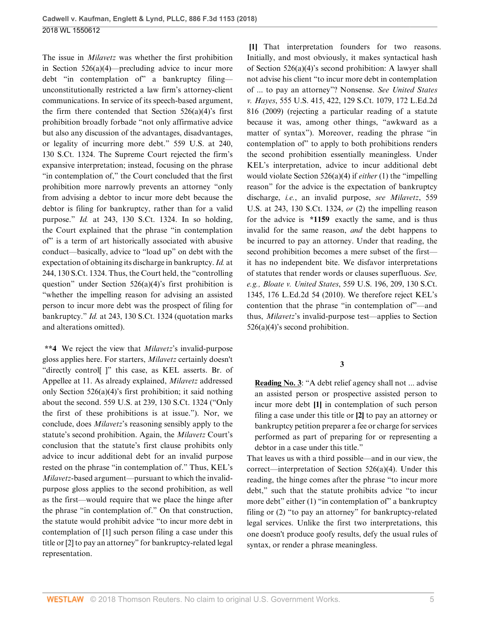The issue in *[Milavetz](http://www.westlaw.com/Link/Document/FullText?findType=Y&serNum=2021490121&pubNum=0000780&originatingDoc=I3d670b10346311e89d46ed79fb792237&refType=RP&originationContext=document&vr=3.0&rs=cblt1.0&transitionType=DocumentItem&contextData=(sc.UserEnteredCitation))* was whether the first prohibition in [Section 526\(a\)\(4\)—](http://www.westlaw.com/Link/Document/FullText?findType=L&pubNum=1000546&cite=11USCAS526&originatingDoc=I3d670b10346311e89d46ed79fb792237&refType=SP&originationContext=document&vr=3.0&rs=cblt1.0&transitionType=DocumentItem&contextData=(sc.UserEnteredCitation)#co_pp_d40e000072291)precluding advice to incur more debt "in contemplation of" a bankruptcy filing unconstitutionally restricted a law firm's attorney-client communications. In service of its speech-based argument, the firm there contended that Section  $526(a)(4)$ 's first prohibition broadly forbade "not only affirmative advice but also any discussion of the advantages, disadvantages, or legality of incurring more debt." [559 U.S. at 240,](http://www.westlaw.com/Link/Document/FullText?findType=Y&serNum=2021490121&pubNum=0000708&originatingDoc=I3d670b10346311e89d46ed79fb792237&refType=RP&originationContext=document&vr=3.0&rs=cblt1.0&transitionType=DocumentItem&contextData=(sc.UserEnteredCitation)) [130 S.Ct. 1324.](http://www.westlaw.com/Link/Document/FullText?findType=Y&serNum=2021490121&pubNum=0000708&originatingDoc=I3d670b10346311e89d46ed79fb792237&refType=RP&originationContext=document&vr=3.0&rs=cblt1.0&transitionType=DocumentItem&contextData=(sc.UserEnteredCitation)) The Supreme Court rejected the firm's expansive interpretation; instead, focusing on the phrase "in contemplation of," the Court concluded that the first prohibition more narrowly prevents an attorney "only from advising a debtor to incur more debt because the debtor is filing for bankruptcy, rather than for a valid purpose." *Id.* [at 243, 130 S.Ct. 1324.](http://www.westlaw.com/Link/Document/FullText?findType=Y&serNum=2021490121&pubNum=0000708&originatingDoc=I3d670b10346311e89d46ed79fb792237&refType=RP&originationContext=document&vr=3.0&rs=cblt1.0&transitionType=DocumentItem&contextData=(sc.UserEnteredCitation)) In so holding, the Court explained that the phrase "in contemplation of" is a term of art historically associated with abusive conduct—basically, advice to "load up" on debt with the expectation of obtaining its discharge in bankruptcy. *[Id.](http://www.westlaw.com/Link/Document/FullText?findType=Y&serNum=2021490121&pubNum=0000708&originatingDoc=I3d670b10346311e89d46ed79fb792237&refType=RP&originationContext=document&vr=3.0&rs=cblt1.0&transitionType=DocumentItem&contextData=(sc.UserEnteredCitation))* at [244, 130 S.Ct. 1324.](http://www.westlaw.com/Link/Document/FullText?findType=Y&serNum=2021490121&pubNum=0000708&originatingDoc=I3d670b10346311e89d46ed79fb792237&refType=RP&originationContext=document&vr=3.0&rs=cblt1.0&transitionType=DocumentItem&contextData=(sc.UserEnteredCitation)) Thus, the Court held, the "controlling question" under [Section 526\(a\)\(4\)](http://www.westlaw.com/Link/Document/FullText?findType=L&pubNum=1000546&cite=11USCAS526&originatingDoc=I3d670b10346311e89d46ed79fb792237&refType=SP&originationContext=document&vr=3.0&rs=cblt1.0&transitionType=DocumentItem&contextData=(sc.UserEnteredCitation)#co_pp_d40e000072291)'s first prohibition is "whether the impelling reason for advising an assisted person to incur more debt was the prospect of filing for bankruptcy." *Id.* [at 243, 130 S.Ct. 1324](http://www.westlaw.com/Link/Document/FullText?findType=Y&serNum=2021490121&pubNum=0000708&originatingDoc=I3d670b10346311e89d46ed79fb792237&refType=RP&originationContext=document&vr=3.0&rs=cblt1.0&transitionType=DocumentItem&contextData=(sc.UserEnteredCitation)) (quotation marks and alterations omitted).

**\*\*4** We reject the view that *[Milavetz](http://www.westlaw.com/Link/Document/FullText?findType=Y&serNum=2021490121&originatingDoc=I3d670b10346311e89d46ed79fb792237&refType=RP&originationContext=document&vr=3.0&rs=cblt1.0&transitionType=DocumentItem&contextData=(sc.UserEnteredCitation))*'s invalid-purpose gloss applies here. For starters, *[Milavetz](http://www.westlaw.com/Link/Document/FullText?findType=Y&serNum=2021490121&pubNum=0000780&originatingDoc=I3d670b10346311e89d46ed79fb792237&refType=RP&originationContext=document&vr=3.0&rs=cblt1.0&transitionType=DocumentItem&contextData=(sc.UserEnteredCitation))* certainly doesn't "directly control[ ]" this case, as KEL asserts. Br. of Appellee at 11. As already explained, *[Milavetz](http://www.westlaw.com/Link/Document/FullText?findType=Y&serNum=2021490121&pubNum=0000780&originatingDoc=I3d670b10346311e89d46ed79fb792237&refType=RP&originationContext=document&vr=3.0&rs=cblt1.0&transitionType=DocumentItem&contextData=(sc.UserEnteredCitation))* addressed only [Section 526\(a\)\(4\)](http://www.westlaw.com/Link/Document/FullText?findType=L&pubNum=1000546&cite=11USCAS526&originatingDoc=I3d670b10346311e89d46ed79fb792237&refType=SP&originationContext=document&vr=3.0&rs=cblt1.0&transitionType=DocumentItem&contextData=(sc.UserEnteredCitation)#co_pp_d40e000072291)'s first prohibition; it said nothing about the second. [559 U.S. at 239, 130 S.Ct. 1324](http://www.westlaw.com/Link/Document/FullText?findType=Y&serNum=2021490121&pubNum=0000708&originatingDoc=I3d670b10346311e89d46ed79fb792237&refType=RP&originationContext=document&vr=3.0&rs=cblt1.0&transitionType=DocumentItem&contextData=(sc.UserEnteredCitation)) ("Only the first of these prohibitions is at issue."). Nor, we conclude, does *[Milavetz](http://www.westlaw.com/Link/Document/FullText?findType=Y&serNum=2021490121&originatingDoc=I3d670b10346311e89d46ed79fb792237&refType=RP&originationContext=document&vr=3.0&rs=cblt1.0&transitionType=DocumentItem&contextData=(sc.UserEnteredCitation))*'s reasoning sensibly apply to the statute's second prohibition. Again, the *[Milavetz](http://www.westlaw.com/Link/Document/FullText?findType=Y&serNum=2021490121&pubNum=0000780&originatingDoc=I3d670b10346311e89d46ed79fb792237&refType=RP&originationContext=document&vr=3.0&rs=cblt1.0&transitionType=DocumentItem&contextData=(sc.UserEnteredCitation))* Court's conclusion that the statute's first clause prohibits only advice to incur additional debt for an invalid purpose rested on the phrase "in contemplation of." Thus, KEL's *[Milavetz](http://www.westlaw.com/Link/Document/FullText?findType=Y&serNum=2021490121&originatingDoc=I3d670b10346311e89d46ed79fb792237&refType=RP&originationContext=document&vr=3.0&rs=cblt1.0&transitionType=DocumentItem&contextData=(sc.UserEnteredCitation))*-based argument—pursuant to which the invalidpurpose gloss applies to the second prohibition, as well as the first—would require that we place the hinge after the phrase "in contemplation of." On that construction, the statute would prohibit advice "to incur more debt in contemplation of [1] such person filing a case under this title or [2] to pay an attorney" for bankruptcy-related legal representation.

<span id="page-4-0"></span>**[\[1](#page-0-1)]** That interpretation founders for two reasons. Initially, and most obviously, it makes syntactical hash of [Section 526\(a\)\(4\)'](http://www.westlaw.com/Link/Document/FullText?findType=L&pubNum=1000546&cite=11USCAS526&originatingDoc=I3d670b10346311e89d46ed79fb792237&refType=SP&originationContext=document&vr=3.0&rs=cblt1.0&transitionType=DocumentItem&contextData=(sc.UserEnteredCitation)#co_pp_d40e000072291)s second prohibition: A lawyer shall not advise his client "to incur more debt in contemplation of ... to pay an attorney"? Nonsense. *See [United States](http://www.westlaw.com/Link/Document/FullText?findType=Y&serNum=2018195710&pubNum=0000708&originatingDoc=I3d670b10346311e89d46ed79fb792237&refType=RP&originationContext=document&vr=3.0&rs=cblt1.0&transitionType=DocumentItem&contextData=(sc.UserEnteredCitation)) v. Hayes*[, 555 U.S. 415, 422, 129 S.Ct. 1079, 172 L.Ed.2d](http://www.westlaw.com/Link/Document/FullText?findType=Y&serNum=2018195710&pubNum=0000708&originatingDoc=I3d670b10346311e89d46ed79fb792237&refType=RP&originationContext=document&vr=3.0&rs=cblt1.0&transitionType=DocumentItem&contextData=(sc.UserEnteredCitation)) [816 \(2009\)](http://www.westlaw.com/Link/Document/FullText?findType=Y&serNum=2018195710&pubNum=0000708&originatingDoc=I3d670b10346311e89d46ed79fb792237&refType=RP&originationContext=document&vr=3.0&rs=cblt1.0&transitionType=DocumentItem&contextData=(sc.UserEnteredCitation)) (rejecting a particular reading of a statute because it was, among other things, "awkward as a matter of syntax"). Moreover, reading the phrase "in contemplation of" to apply to both prohibitions renders the second prohibition essentially meaningless. Under KEL's interpretation, advice to incur additional debt would violate [Section 526\(a\)\(4\)](http://www.westlaw.com/Link/Document/FullText?findType=L&pubNum=1000546&cite=11USCAS526&originatingDoc=I3d670b10346311e89d46ed79fb792237&refType=SP&originationContext=document&vr=3.0&rs=cblt1.0&transitionType=DocumentItem&contextData=(sc.UserEnteredCitation)#co_pp_d40e000072291) if *either* (1) the "impelling reason" for the advice is the expectation of bankruptcy discharge, *i.e.*, an invalid purpose, *see [Milavetz](http://www.westlaw.com/Link/Document/FullText?findType=Y&serNum=2021490121&pubNum=0000708&originatingDoc=I3d670b10346311e89d46ed79fb792237&refType=RP&originationContext=document&vr=3.0&rs=cblt1.0&transitionType=DocumentItem&contextData=(sc.UserEnteredCitation))*, 559 [U.S. at 243, 130 S.Ct. 1324](http://www.westlaw.com/Link/Document/FullText?findType=Y&serNum=2021490121&pubNum=0000708&originatingDoc=I3d670b10346311e89d46ed79fb792237&refType=RP&originationContext=document&vr=3.0&rs=cblt1.0&transitionType=DocumentItem&contextData=(sc.UserEnteredCitation)), *or* (2) the impelling reason for the advice is **\*1159** exactly the same, and is thus invalid for the same reason, *and* the debt happens to be incurred to pay an attorney. Under that reading, the second prohibition becomes a mere subset of the first it has no independent bite. We disfavor interpretations of statutes that render words or clauses superfluous. *See, e.g., Bloate v. United States*[, 559 U.S. 196, 209, 130 S.Ct.](http://www.westlaw.com/Link/Document/FullText?findType=Y&serNum=2021490123&pubNum=0000708&originatingDoc=I3d670b10346311e89d46ed79fb792237&refType=RP&originationContext=document&vr=3.0&rs=cblt1.0&transitionType=DocumentItem&contextData=(sc.UserEnteredCitation)) [1345, 176 L.Ed.2d 54 \(2010\).](http://www.westlaw.com/Link/Document/FullText?findType=Y&serNum=2021490123&pubNum=0000708&originatingDoc=I3d670b10346311e89d46ed79fb792237&refType=RP&originationContext=document&vr=3.0&rs=cblt1.0&transitionType=DocumentItem&contextData=(sc.UserEnteredCitation)) We therefore reject KEL's contention that the phrase "in contemplation of"—and thus, *[Milavetz](http://www.westlaw.com/Link/Document/FullText?findType=Y&serNum=2021490121&originatingDoc=I3d670b10346311e89d46ed79fb792237&refType=RP&originationContext=document&vr=3.0&rs=cblt1.0&transitionType=DocumentItem&contextData=(sc.UserEnteredCitation))*'s invalid-purpose test—applies to [Section](http://www.westlaw.com/Link/Document/FullText?findType=L&pubNum=1000546&cite=11USCAS526&originatingDoc=I3d670b10346311e89d46ed79fb792237&refType=SP&originationContext=document&vr=3.0&rs=cblt1.0&transitionType=DocumentItem&contextData=(sc.UserEnteredCitation)#co_pp_d40e000072291) [526\(a\)\(4\)](http://www.westlaw.com/Link/Document/FullText?findType=L&pubNum=1000546&cite=11USCAS526&originatingDoc=I3d670b10346311e89d46ed79fb792237&refType=SP&originationContext=document&vr=3.0&rs=cblt1.0&transitionType=DocumentItem&contextData=(sc.UserEnteredCitation)#co_pp_d40e000072291)'s second prohibition.

**3**

**Reading No. 3**: "A debt relief agency shall not ... advise an assisted person or prospective assisted person to incur more debt **[1]** in contemplation of such person filing a case under this title or **[2]** to pay an attorney or bankruptcy petition preparer a fee or charge for services performed as part of preparing for or representing a debtor in a case under this title."

That leaves us with a third possible—and in our view, the correct—interpretation of [Section 526\(a\)\(4\)](http://www.westlaw.com/Link/Document/FullText?findType=L&pubNum=1000546&cite=11USCAS526&originatingDoc=I3d670b10346311e89d46ed79fb792237&refType=SP&originationContext=document&vr=3.0&rs=cblt1.0&transitionType=DocumentItem&contextData=(sc.UserEnteredCitation)#co_pp_d40e000072291). Under this reading, the hinge comes after the phrase "to incur more debt," such that the statute prohibits advice "to incur more debt" either (1) "in contemplation of" a bankruptcy filing or (2) "to pay an attorney" for bankruptcy-related legal services. Unlike the first two interpretations, this one doesn't produce goofy results, defy the usual rules of syntax, or render a phrase meaningless.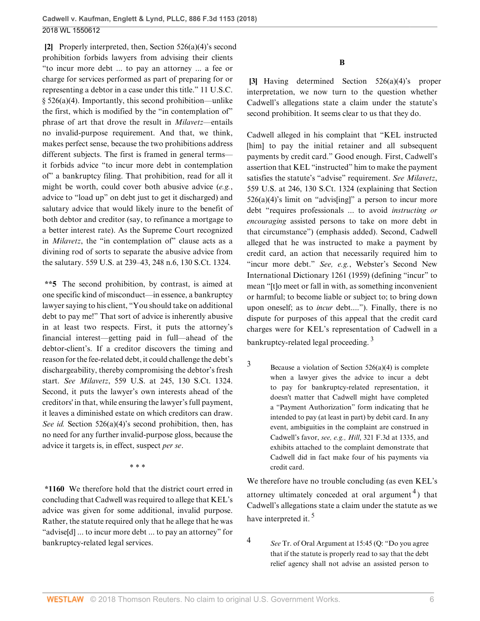<span id="page-5-0"></span>**[\[2](#page-0-2)]** Properly interpreted, then, [Section 526\(a\)\(4\)'](http://www.westlaw.com/Link/Document/FullText?findType=L&pubNum=1000546&cite=11USCAS526&originatingDoc=I3d670b10346311e89d46ed79fb792237&refType=SP&originationContext=document&vr=3.0&rs=cblt1.0&transitionType=DocumentItem&contextData=(sc.UserEnteredCitation)#co_pp_d40e000072291)s second prohibition forbids lawyers from advising their clients "to incur more debt ... to pay an attorney ... a fee or charge for services performed as part of preparing for or representing a debtor in a case under this title." [11 U.S.C.](http://www.westlaw.com/Link/Document/FullText?findType=L&pubNum=1000546&cite=11USCAS526&originatingDoc=I3d670b10346311e89d46ed79fb792237&refType=SP&originationContext=document&vr=3.0&rs=cblt1.0&transitionType=DocumentItem&contextData=(sc.UserEnteredCitation)#co_pp_d40e000072291)  $§$  526(a)(4). Importantly, this second prohibition—unlike the first, which is modified by the "in contemplation of" phrase of art that drove the result in *[Milavetz](http://www.westlaw.com/Link/Document/FullText?findType=Y&serNum=2021490121&originatingDoc=I3d670b10346311e89d46ed79fb792237&refType=RP&originationContext=document&vr=3.0&rs=cblt1.0&transitionType=DocumentItem&contextData=(sc.UserEnteredCitation))*—entails no invalid-purpose requirement. And that, we think, makes perfect sense, because the two prohibitions address different subjects. The first is framed in general terms it forbids advice "to incur more debt in contemplation of" a bankruptcy filing. That prohibition, read for all it might be worth, could cover both abusive advice (*e.g.*, advice to "load up" on debt just to get it discharged) and salutary advice that would likely inure to the benefit of both debtor and creditor (say, to refinance a mortgage to a better interest rate). As the Supreme Court recognized in *[Milavetz](http://www.westlaw.com/Link/Document/FullText?findType=Y&serNum=2021490121&pubNum=0000780&originatingDoc=I3d670b10346311e89d46ed79fb792237&refType=RP&originationContext=document&vr=3.0&rs=cblt1.0&transitionType=DocumentItem&contextData=(sc.UserEnteredCitation))*, the "in contemplation of" clause acts as a divining rod of sorts to separate the abusive advice from the salutary. [559 U.S. at 239–43, 248 n.6, 130 S.Ct. 1324.](http://www.westlaw.com/Link/Document/FullText?findType=Y&serNum=2021490121&pubNum=0000708&originatingDoc=I3d670b10346311e89d46ed79fb792237&refType=RP&originationContext=document&vr=3.0&rs=cblt1.0&transitionType=DocumentItem&contextData=(sc.UserEnteredCitation))

**\*\*5** The second prohibition, by contrast, is aimed at one specific kind of misconduct—in essence, a bankruptcy lawyer saying to his client, "You should take on additional debt to pay me!" That sort of advice is inherently abusive in at least two respects. First, it puts the attorney's financial interest—getting paid in full—ahead of the debtor-client's. If a creditor discovers the timing and reason for the fee-related debt, it could challenge the debt's dischargeability, thereby compromising the debtor's fresh start. *See Milavetz*[, 559 U.S. at 245, 130 S.Ct. 1324](http://www.westlaw.com/Link/Document/FullText?findType=Y&serNum=2021490121&pubNum=0000708&originatingDoc=I3d670b10346311e89d46ed79fb792237&refType=RP&originationContext=document&vr=3.0&rs=cblt1.0&transitionType=DocumentItem&contextData=(sc.UserEnteredCitation)). Second, it puts the lawyer's own interests ahead of the creditors' in that, while ensuring the lawyer's full payment, it leaves a diminished estate on which creditors can draw. *See id.* [Section 526\(a\)\(4\)'](http://www.westlaw.com/Link/Document/FullText?findType=L&pubNum=1000546&cite=11USCAS526&originatingDoc=I3d670b10346311e89d46ed79fb792237&refType=SP&originationContext=document&vr=3.0&rs=cblt1.0&transitionType=DocumentItem&contextData=(sc.UserEnteredCitation)#co_pp_d40e000072291)s second prohibition, then, has no need for any further invalid-purpose gloss, because the advice it targets is, in effect, suspect *per se*.

\* \* \*

**\*1160** We therefore hold that the district court erred in concluding that Cadwell was required to allege that KEL's advice was given for some additional, invalid purpose. Rather, the statute required only that he allege that he was "advise[d] ... to incur more debt ... to pay an attorney" for bankruptcy-related legal services.

**B**

<span id="page-5-1"></span>**[\[3](#page-0-0)]** Having determined [Section 526\(a\)\(4\)](http://www.westlaw.com/Link/Document/FullText?findType=L&pubNum=1000546&cite=11USCAS526&originatingDoc=I3d670b10346311e89d46ed79fb792237&refType=SP&originationContext=document&vr=3.0&rs=cblt1.0&transitionType=DocumentItem&contextData=(sc.UserEnteredCitation)#co_pp_d40e000072291)'s proper interpretation, we now turn to the question whether Cadwell's allegations state a claim under the statute's second prohibition. It seems clear to us that they do.

Cadwell alleged in his complaint that "KEL instructed [him] to pay the initial retainer and all subsequent payments by credit card." Good enough. First, Cadwell's assertion that KEL "instructed" him to make the payment satisfies the statute's "advise" requirement. *See [Milavetz](http://www.westlaw.com/Link/Document/FullText?findType=Y&serNum=2021490121&pubNum=0000708&originatingDoc=I3d670b10346311e89d46ed79fb792237&refType=RP&originationContext=document&vr=3.0&rs=cblt1.0&transitionType=DocumentItem&contextData=(sc.UserEnteredCitation))*, [559 U.S. at 246, 130 S.Ct. 1324](http://www.westlaw.com/Link/Document/FullText?findType=Y&serNum=2021490121&pubNum=0000708&originatingDoc=I3d670b10346311e89d46ed79fb792237&refType=RP&originationContext=document&vr=3.0&rs=cblt1.0&transitionType=DocumentItem&contextData=(sc.UserEnteredCitation)) (explaining that [Section](http://www.westlaw.com/Link/Document/FullText?findType=L&pubNum=1000546&cite=11USCAS526&originatingDoc=I3d670b10346311e89d46ed79fb792237&refType=SP&originationContext=document&vr=3.0&rs=cblt1.0&transitionType=DocumentItem&contextData=(sc.UserEnteredCitation)#co_pp_d40e000072291)  $526(a)(4)$ 's limit on "advis[ing]" a person to incur more debt "requires professionals ... to avoid *instructing or encouraging* assisted persons to take on more debt in that circumstance") (emphasis added). Second, Cadwell alleged that he was instructed to make a payment by credit card, an action that necessarily required him to "incur more debt." *See, e.g.*, Webster's Second New International Dictionary 1261 (1959) (defining "incur" to mean "[t]o meet or fall in with, as something inconvenient or harmful; to become liable or subject to; to bring down upon oneself; as to *incur* debt...."). Finally, there is no dispute for purposes of this appeal that the credit card charges were for KEL's representation of Cadwell in a bankruptcy-related legal proceeding.<sup>[3](#page-5-2)</sup>

<span id="page-5-3"></span><span id="page-5-2"></span> $3$  Because a violation of [Section 526\(a\)\(4\)](http://www.westlaw.com/Link/Document/FullText?findType=L&pubNum=1000546&cite=11USCAS526&originatingDoc=I3d670b10346311e89d46ed79fb792237&refType=SP&originationContext=document&vr=3.0&rs=cblt1.0&transitionType=DocumentItem&contextData=(sc.UserEnteredCitation)#co_pp_d40e000072291) is complete when a lawyer gives the advice to incur a debt to pay for bankruptcy-related representation, it doesn't matter that Cadwell might have completed a "Payment Authorization" form indicating that he intended to pay (at least in part) by debit card. In any event, ambiguities in the complaint are construed in Cadwell's favor, *see, e.g., Hill*[, 321 F.3d at 1335,](http://www.westlaw.com/Link/Document/FullText?findType=Y&serNum=2003169523&pubNum=0000506&originatingDoc=I3d670b10346311e89d46ed79fb792237&refType=RP&fi=co_pp_sp_506_1335&originationContext=document&vr=3.0&rs=cblt1.0&transitionType=DocumentItem&contextData=(sc.UserEnteredCitation)#co_pp_sp_506_1335) and exhibits attached to the complaint demonstrate that Cadwell did in fact make four of his payments via credit card.

<span id="page-5-5"></span>We therefore have no trouble concluding (as even KEL's attorney ultimately conceded at oral argument<sup>[4](#page-5-4)</sup>) that Cadwell's allegations state a claim under the statute as we have interpreted it.<sup>[5](#page-6-1)</sup>

[4](#page-5-5) *See* Tr. of Oral Argument at 15:45 (Q: "Do you agree that if the statute is properly read to say that the debt relief agency shall not advise an assisted person to

<span id="page-5-6"></span><span id="page-5-4"></span>